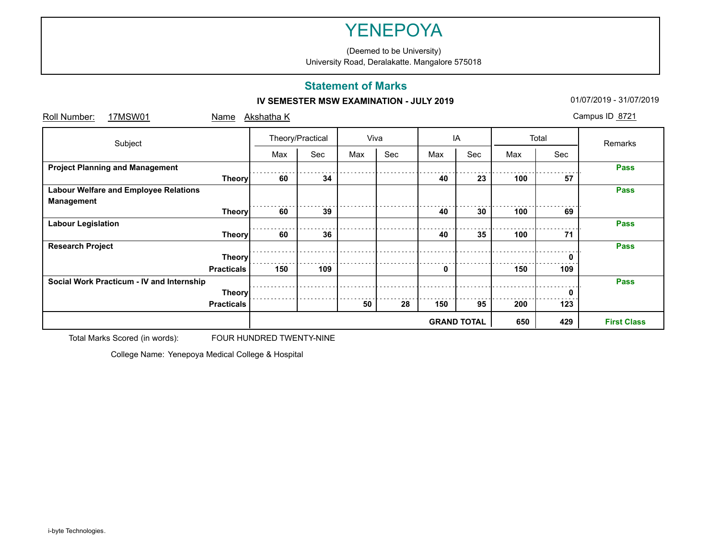(Deemed to be University) University Road, Deralakatte. Mangalore 575018

## **Statement of Marks**

### **IV SEMESTER MSW EXAMINATION - JULY 2019 101/07/2019 - 01/07/2019 - 31/07/2019**

| Roll Number:<br>17MSW01                                    | Name              | Akshatha K       |     |     |      |     |                    |     |       | Campus ID 8721     |
|------------------------------------------------------------|-------------------|------------------|-----|-----|------|-----|--------------------|-----|-------|--------------------|
| Subject                                                    |                   | Theory/Practical |     |     | Viva |     | ΙA                 |     | Total | Remarks            |
|                                                            |                   | Max              | Sec | Max | Sec  | Max | Sec                | Max | Sec   |                    |
| <b>Project Planning and Management</b>                     |                   |                  |     |     |      |     |                    |     |       | <b>Pass</b>        |
|                                                            | <b>Theory</b>     | 60               | 34  |     |      | 40  | 23                 | 100 | 57    |                    |
| <b>Labour Welfare and Employee Relations</b><br>Management |                   |                  |     |     |      |     |                    |     |       | <b>Pass</b>        |
|                                                            | <b>Theory</b>     | 60               | 39  |     |      | 40  | 30                 | 100 | 69    |                    |
| <b>Labour Legislation</b>                                  |                   |                  |     |     |      |     |                    |     |       | <b>Pass</b>        |
|                                                            | <b>Theory</b>     | 60               | 36  |     |      | 40  | 35                 | 100 | 71    |                    |
| <b>Research Project</b>                                    |                   |                  |     |     |      |     |                    |     |       | <b>Pass</b>        |
|                                                            | <b>Theory</b>     |                  |     |     |      |     |                    |     | ŋ     |                    |
|                                                            | <b>Practicals</b> | 150              | 109 |     |      | 0   |                    | 150 | 109   |                    |
| Social Work Practicum - IV and Internship                  |                   |                  |     |     |      |     |                    |     |       | <b>Pass</b>        |
|                                                            | <b>Theory</b>     |                  |     |     |      |     |                    |     | Ω     |                    |
|                                                            | <b>Practicals</b> |                  |     | 50  | 28   | 150 | 95                 | 200 | 123   |                    |
|                                                            |                   |                  |     |     |      |     | <b>GRAND TOTAL</b> | 650 | 429   | <b>First Class</b> |

Total Marks Scored (in words): FOUR HUNDRED TWENTY-NINE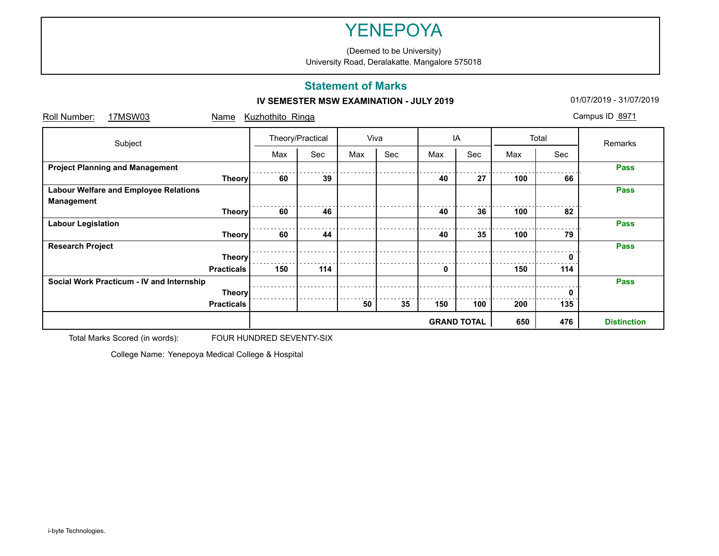(Deemed to be University) University Road, Deralakatte. Mangalore 575018

## **Statement of Marks**

### **IV SEMESTER MSW EXAMINATION - JULY 2019 101/07/2019 - 01/07/2019 - 31/07/2019**

| 17MSW03<br>Roll Number:                      | Name              | Kuzhothito Ringa |     |     |      |     |                    |     |       | Campus ID 8971     |
|----------------------------------------------|-------------------|------------------|-----|-----|------|-----|--------------------|-----|-------|--------------------|
| Subject                                      |                   | Theory/Practical |     |     | Viva |     | IA                 |     | Total | Remarks            |
|                                              |                   | Max              | Sec | Max | Sec  | Max | Sec                | Max | Sec   |                    |
| <b>Project Planning and Management</b>       |                   |                  |     |     |      |     |                    |     |       | <b>Pass</b>        |
|                                              | <b>Theory</b>     | 60               | 39  |     |      | 40  | 27                 | 100 | 66    |                    |
| <b>Labour Welfare and Employee Relations</b> |                   |                  |     |     |      |     |                    |     |       | <b>Pass</b>        |
| <b>Management</b>                            |                   |                  |     |     |      |     |                    |     |       |                    |
|                                              | <b>Theory</b>     | 60               | 46  |     |      | 40  | 36                 | 100 | 82    |                    |
| <b>Labour Legislation</b>                    |                   |                  |     |     |      |     |                    |     |       | <b>Pass</b>        |
|                                              | <b>Theory</b>     | 60               | 44  |     |      | 40  | 35                 | 100 | 79    |                    |
| <b>Research Project</b>                      |                   |                  |     |     |      |     |                    |     |       | <b>Pass</b>        |
|                                              | <b>Theory</b>     |                  |     |     |      |     |                    |     |       |                    |
|                                              | <b>Practicals</b> | 150              | 114 |     |      | 0   |                    | 150 | 114   |                    |
| Social Work Practicum - IV and Internship    |                   |                  |     |     |      |     |                    |     |       | <b>Pass</b>        |
|                                              | <b>Theory</b>     |                  |     |     |      |     |                    |     |       |                    |
|                                              | <b>Practicals</b> |                  |     | 50  | 35   | 150 | 100                | 200 | 135   |                    |
|                                              |                   |                  |     |     |      |     | <b>GRAND TOTAL</b> | 650 | 476   | <b>Distinction</b> |

Total Marks Scored (in words): FOUR HUNDRED SEVENTY-SIX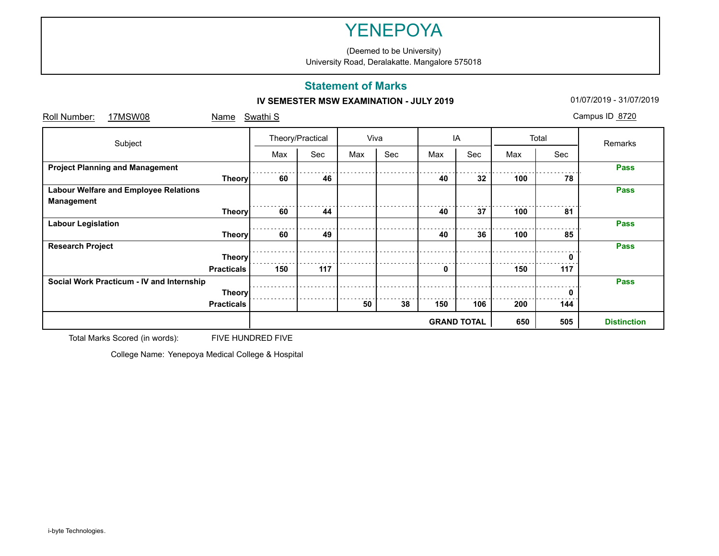(Deemed to be University) University Road, Deralakatte. Mangalore 575018

## **Statement of Marks**

### **IV SEMESTER MSW EXAMINATION - JULY 2019 101/07/2019 - 01/07/2019 - 31/07/2019**

| <b>17MSW08</b><br>Roll Number:               | Name              | Swathi S         |     |     |      |     |                    |     |       | Campus ID 8720     |  |
|----------------------------------------------|-------------------|------------------|-----|-----|------|-----|--------------------|-----|-------|--------------------|--|
| Subject                                      |                   | Theory/Practical |     |     | Viva |     | IA                 |     | Total | Remarks            |  |
|                                              |                   | Max              | Sec | Max | Sec  | Max | Sec                | Max | Sec   |                    |  |
| <b>Project Planning and Management</b>       |                   |                  |     |     |      |     |                    |     |       | <b>Pass</b>        |  |
|                                              | <b>Theory</b>     | 60               | 46  |     |      | 40  | 32                 | 100 | 78    |                    |  |
| <b>Labour Welfare and Employee Relations</b> |                   |                  |     |     |      |     |                    |     |       | <b>Pass</b>        |  |
| Management                                   |                   |                  |     |     |      |     |                    |     |       |                    |  |
|                                              | <b>Theory</b>     | 60               | 44  |     |      | 40  | 37                 | 100 | 81    |                    |  |
| <b>Labour Legislation</b>                    |                   |                  |     |     |      |     |                    |     |       | <b>Pass</b>        |  |
|                                              | <b>Theory</b>     | 60               | 49  |     |      | 40  | 36                 | 100 | 85    |                    |  |
| <b>Research Project</b>                      |                   |                  |     |     |      |     |                    |     |       | <b>Pass</b>        |  |
|                                              | <b>Theory</b>     |                  |     |     |      |     |                    |     |       |                    |  |
|                                              | <b>Practicals</b> | 150              | 117 |     |      | 0   |                    | 150 | 117   |                    |  |
| Social Work Practicum - IV and Internship    |                   |                  |     |     |      |     |                    |     |       | <b>Pass</b>        |  |
|                                              | <b>Theory</b>     |                  |     |     |      |     |                    |     |       |                    |  |
|                                              | <b>Practicals</b> |                  |     | 50  | 38   | 150 | 106                | 200 | 144   |                    |  |
|                                              |                   |                  |     |     |      |     | <b>GRAND TOTAL</b> | 650 | 505   | <b>Distinction</b> |  |

Total Marks Scored (in words): FIVE HUNDRED FIVE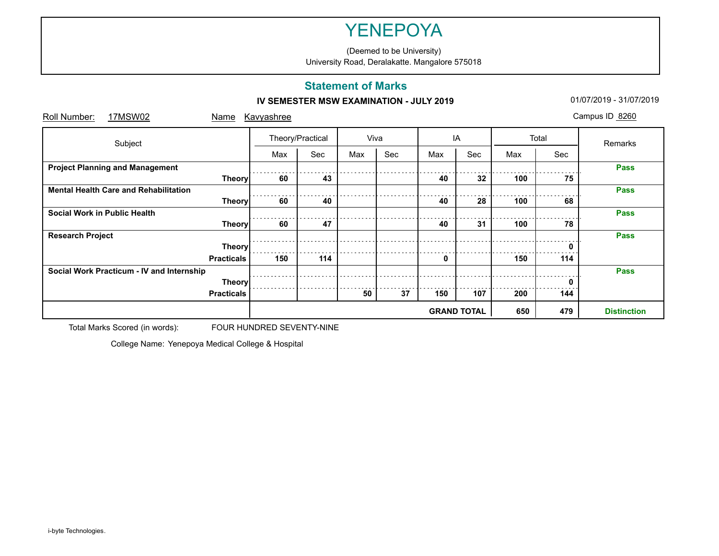(Deemed to be University) University Road, Deralakatte. Mangalore 575018

## **Statement of Marks**

### **IV SEMESTER MSW EXAMINATION - JULY 2019 101/07/2019 - 01/07/2019 - 31/07/2019**

| Roll Number:<br>17MSW02                      | Name              | Kavyashree       |     |     |      |     |                    |     |       | Campus ID 8260     |
|----------------------------------------------|-------------------|------------------|-----|-----|------|-----|--------------------|-----|-------|--------------------|
| Subject                                      |                   | Theory/Practical |     |     | Viva |     | IA                 |     | Total | Remarks            |
|                                              |                   | Max              | Sec | Max | Sec  | Max | Sec                | Max | Sec   |                    |
| <b>Project Planning and Management</b>       |                   |                  |     |     |      |     |                    |     |       | <b>Pass</b>        |
|                                              | <b>Theory</b>     | 60               | 43  |     |      | 40  | 32                 | 100 | 75    |                    |
| <b>Mental Health Care and Rehabilitation</b> |                   |                  |     |     |      |     |                    |     |       | <b>Pass</b>        |
|                                              | <b>Theory</b>     | 60               | 40  |     |      | 40  | 28                 | 100 | 68    |                    |
| Social Work in Public Health                 |                   |                  |     |     |      |     |                    |     |       | <b>Pass</b>        |
|                                              | <b>Theory</b>     | 60               | 47  |     |      | 40  | 31                 | 100 | 78    |                    |
| <b>Research Project</b>                      |                   |                  |     |     |      |     |                    |     |       | <b>Pass</b>        |
|                                              | <b>Theory</b>     |                  |     |     |      |     |                    |     |       |                    |
|                                              | <b>Practicals</b> | 150              | 114 |     |      | 0   |                    | 150 | 114   |                    |
| Social Work Practicum - IV and Internship    |                   |                  |     |     |      |     |                    |     |       | <b>Pass</b>        |
|                                              | <b>Theory</b>     |                  |     |     |      |     |                    |     |       |                    |
|                                              | <b>Practicals</b> |                  |     | 50  | 37   | 150 | 107                | 200 | 144   |                    |
|                                              |                   |                  |     |     |      |     | <b>GRAND TOTAL</b> | 650 | 479   | <b>Distinction</b> |

Total Marks Scored (in words): FOUR HUNDRED SEVENTY-NINE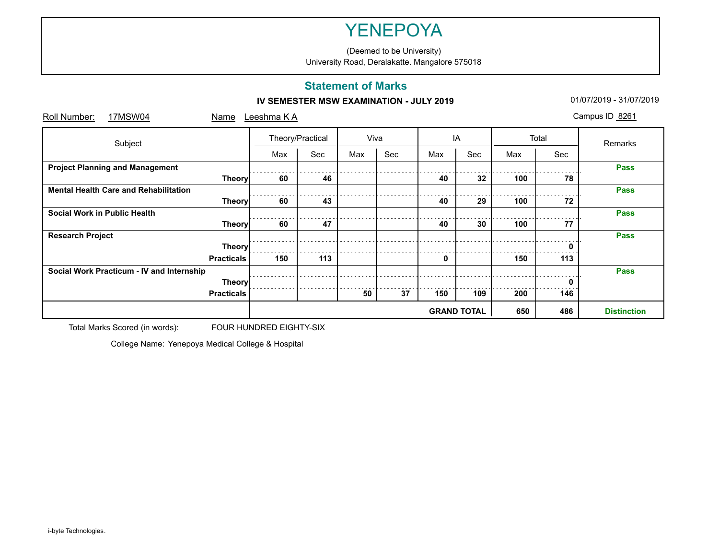(Deemed to be University) University Road, Deralakatte. Mangalore 575018

## **Statement of Marks**

### **IV SEMESTER MSW EXAMINATION - JULY 2019 101/07/2019 - 01/07/2019 - 31/07/2019**

| Roll Number:<br><b>17MSW04</b>               | Name              | Leeshma KA       |     |     |      |     |                    |     |       | Campus ID 8261     |
|----------------------------------------------|-------------------|------------------|-----|-----|------|-----|--------------------|-----|-------|--------------------|
| Subject                                      |                   | Theory/Practical |     |     | Viva |     | ΙA                 |     | Total | Remarks            |
|                                              |                   | Max              | Sec | Max | Sec  | Max | Sec                | Max | Sec   |                    |
| <b>Project Planning and Management</b>       |                   |                  |     |     |      |     |                    |     |       | <b>Pass</b>        |
|                                              | <b>Theory</b>     | 60               | 46  |     |      | 40  | 32                 | 100 | 78    |                    |
| <b>Mental Health Care and Rehabilitation</b> |                   |                  |     |     |      |     |                    |     |       | <b>Pass</b>        |
|                                              | <b>Theory</b>     | 60               | 43  |     |      | 40  | 29                 | 100 | 72    |                    |
| Social Work in Public Health                 |                   |                  |     |     |      |     |                    |     |       | <b>Pass</b>        |
|                                              | <b>Theory</b>     | 60               | 47  |     |      | 40  | 30                 | 100 | 77    |                    |
| <b>Research Project</b>                      |                   |                  |     |     |      |     |                    |     |       | <b>Pass</b>        |
|                                              | <b>Theory</b>     |                  |     |     |      |     |                    |     |       |                    |
|                                              | <b>Practicals</b> | 150              | 113 |     |      | 0   |                    | 150 | 113   |                    |
| Social Work Practicum - IV and Internship    |                   |                  |     |     |      |     |                    |     |       | <b>Pass</b>        |
|                                              | <b>Theory</b>     |                  |     |     |      |     |                    |     |       |                    |
|                                              | <b>Practicals</b> |                  |     | 50  | 37   | 150 | 109                | 200 | 146   |                    |
|                                              |                   |                  |     |     |      |     | <b>GRAND TOTAL</b> | 650 | 486   | <b>Distinction</b> |

Total Marks Scored (in words): FOUR HUNDRED EIGHTY-SIX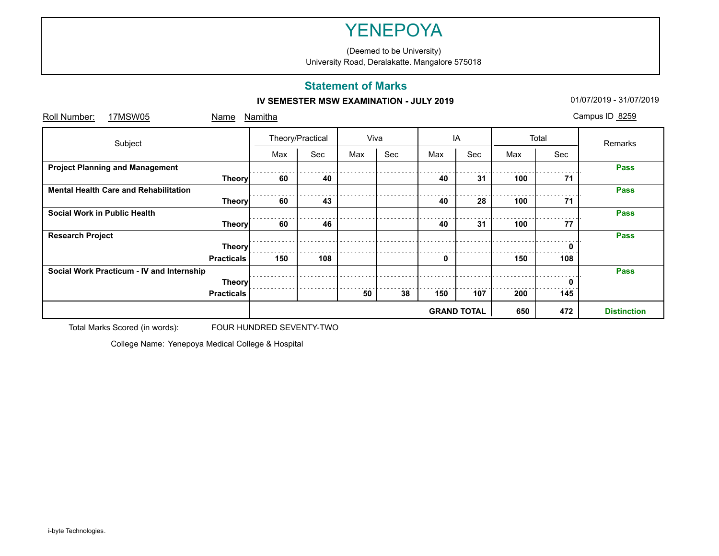(Deemed to be University) University Road, Deralakatte. Mangalore 575018

## **Statement of Marks**

### **IV SEMESTER MSW EXAMINATION - JULY 2019 101/07/2019 - 01/07/2019 - 31/07/2019**

| Roll Number:<br>17MSW05                      | Name              | <b>Namitha</b>   |     |     |      |     |                    |     |       | Campus ID 8259     |
|----------------------------------------------|-------------------|------------------|-----|-----|------|-----|--------------------|-----|-------|--------------------|
| Subject                                      |                   | Theory/Practical |     |     | Viva |     | IA                 |     | Total | Remarks            |
|                                              |                   | Max              | Sec | Max | Sec  | Max | Sec                | Max | Sec   |                    |
| <b>Project Planning and Management</b>       |                   |                  |     |     |      |     |                    |     |       | <b>Pass</b>        |
|                                              | <b>Theory</b>     | 60               | 40  |     |      | 40  | 31                 | 100 | 71    |                    |
| <b>Mental Health Care and Rehabilitation</b> |                   |                  |     |     |      |     |                    |     |       | <b>Pass</b>        |
|                                              | <b>Theory</b>     | 60               | 43  |     |      | 40  | 28                 | 100 | 71    |                    |
| Social Work in Public Health                 |                   |                  |     |     |      |     |                    |     |       | <b>Pass</b>        |
|                                              | <b>Theory</b>     | 60               | 46  |     |      | 40  | 31                 | 100 | 77    |                    |
| <b>Research Project</b>                      |                   |                  |     |     |      |     |                    |     |       | <b>Pass</b>        |
|                                              | <b>Theory</b>     |                  |     |     |      |     |                    |     |       |                    |
|                                              | <b>Practicals</b> | 150              | 108 |     |      | 0   |                    | 150 | 108   |                    |
| Social Work Practicum - IV and Internship    |                   |                  |     |     |      |     |                    |     |       | <b>Pass</b>        |
|                                              | <b>Theory</b>     |                  |     |     |      |     |                    |     |       |                    |
|                                              | <b>Practicals</b> |                  |     | 50  | 38   | 150 | 107                | 200 | 145   |                    |
|                                              |                   |                  |     |     |      |     | <b>GRAND TOTAL</b> | 650 | 472   | <b>Distinction</b> |

Total Marks Scored (in words): FOUR HUNDRED SEVENTY-TWO

College Name: Yenepoya Medical College & Hospital

i-byte Technologies.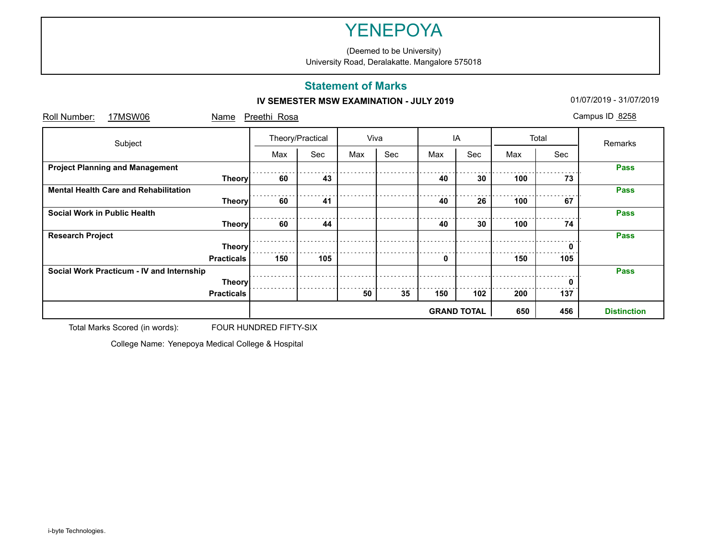(Deemed to be University) University Road, Deralakatte. Mangalore 575018

## **Statement of Marks**

### **IV SEMESTER MSW EXAMINATION - JULY 2019 101/07/2019 - 01/07/2019 - 31/07/2019**

| Roll Number:<br>17MSW06                      | Name              | Preethi Rosa     |     |     |      |     |                    |     |       | Campus ID 8258     |  |
|----------------------------------------------|-------------------|------------------|-----|-----|------|-----|--------------------|-----|-------|--------------------|--|
| Subject                                      |                   | Theory/Practical |     |     | Viva |     | ΙA                 |     | Total | Remarks            |  |
|                                              |                   | Max              | Sec | Max | Sec  | Max | Sec                | Max | Sec   |                    |  |
| <b>Project Planning and Management</b>       |                   |                  |     |     |      |     |                    |     |       | <b>Pass</b>        |  |
|                                              | <b>Theory</b>     | 60               | 43  |     |      | 40  | 30                 | 100 | 73    |                    |  |
| <b>Mental Health Care and Rehabilitation</b> |                   |                  |     |     |      |     |                    |     |       | <b>Pass</b>        |  |
|                                              | <b>Theory</b>     | 60               | 41  |     |      | 40  | 26                 | 100 | 67    |                    |  |
| Social Work in Public Health                 |                   |                  |     |     |      |     |                    |     |       | <b>Pass</b>        |  |
|                                              | <b>Theory</b>     | 60               | 44  |     |      | 40  | 30                 | 100 | 74    |                    |  |
| <b>Research Project</b>                      |                   |                  |     |     |      |     |                    |     |       | <b>Pass</b>        |  |
|                                              | <b>Theory</b>     |                  |     |     |      |     |                    |     |       |                    |  |
|                                              | <b>Practicals</b> | 150              | 105 |     |      | 0   |                    | 150 | 105   |                    |  |
| Social Work Practicum - IV and Internship    |                   |                  |     |     |      |     |                    |     |       | <b>Pass</b>        |  |
|                                              | <b>Theory</b>     |                  |     |     |      |     |                    |     |       |                    |  |
|                                              | <b>Practicals</b> |                  |     | 50  | 35   | 150 | 102                | 200 | 137   |                    |  |
|                                              |                   |                  |     |     |      |     | <b>GRAND TOTAL</b> | 650 | 456   | <b>Distinction</b> |  |

Total Marks Scored (in words): FOUR HUNDRED FIFTY-SIX